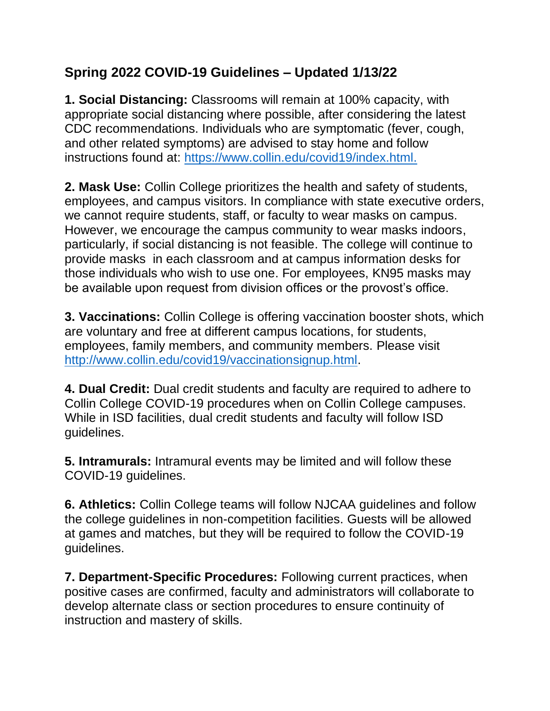## **Spring 2022 COVID-19 Guidelines – Updated 1/13/22**

**1. Social Distancing:** Classrooms will remain at 100% capacity, with appropriate social distancing where possible, after considering the latest CDC recommendations. Individuals who are symptomatic (fever, cough, and other related symptoms) are advised to stay home and follow instructions found at: [https://www.collin.edu/covid19/index.html.](https://www.collin.edu/covid19/index.html)

**2. Mask Use:** Collin College prioritizes the health and safety of students, employees, and campus visitors. In compliance with state executive orders, we cannot require students, staff, or faculty to wear masks on campus. However, we encourage the campus community to wear masks indoors, particularly, if social distancing is not feasible. The college will continue to provide masks in each classroom and at campus information desks for those individuals who wish to use one. For employees, KN95 masks may be available upon request from division offices or the provost's office.

**3. Vaccinations:** Collin College is offering vaccination booster shots, which are voluntary and free at different campus locations, for students, employees, family members, and community members. Please visit [http://www.collin.edu/covid19/vaccinationsignup.html.](http://www.collin.edu/covid19/vaccinationsignup.html)

**4. Dual Credit:** Dual credit students and faculty are required to adhere to Collin College COVID-19 procedures when on Collin College campuses. While in ISD facilities, dual credit students and faculty will follow ISD guidelines.

**5. Intramurals:** Intramural events may be limited and will follow these COVID-19 guidelines.

**6. Athletics:** Collin College teams will follow NJCAA guidelines and follow the college guidelines in non-competition facilities. Guests will be allowed at games and matches, but they will be required to follow the COVID-19 guidelines.

**7. Department-Specific Procedures:** Following current practices, when positive cases are confirmed, faculty and administrators will collaborate to develop alternate class or section procedures to ensure continuity of instruction and mastery of skills.